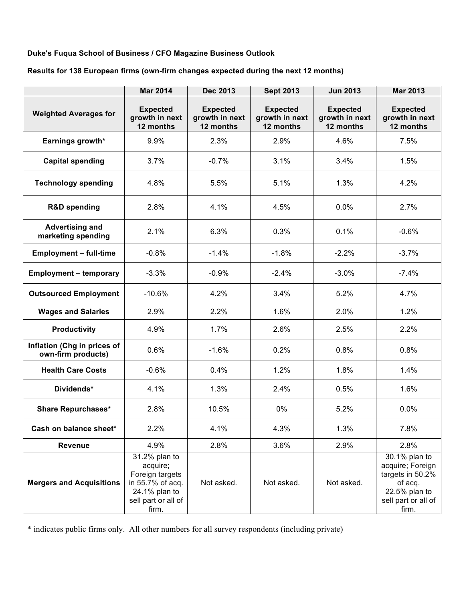# **Duke's Fuqua School of Business / CFO Magazine Business Outlook**

### **Results for 138 European firms (own-firm changes expected during the next 12 months)**

|                                                   | <b>Mar 2014</b>                                                                                                   | <b>Dec 2013</b>                                | <b>Sept 2013</b>                               | <b>Jun 2013</b>                                | <b>Mar 2013</b>                                                                                                   |
|---------------------------------------------------|-------------------------------------------------------------------------------------------------------------------|------------------------------------------------|------------------------------------------------|------------------------------------------------|-------------------------------------------------------------------------------------------------------------------|
| <b>Weighted Averages for</b>                      | <b>Expected</b><br>growth in next<br>12 months                                                                    | <b>Expected</b><br>growth in next<br>12 months | <b>Expected</b><br>growth in next<br>12 months | <b>Expected</b><br>growth in next<br>12 months | <b>Expected</b><br>growth in next<br>12 months                                                                    |
| Earnings growth*                                  | 9.9%                                                                                                              | 2.3%                                           | 2.9%                                           | 4.6%                                           | 7.5%                                                                                                              |
| <b>Capital spending</b>                           | 3.7%                                                                                                              | $-0.7%$                                        | 3.1%                                           | 3.4%                                           | 1.5%                                                                                                              |
| <b>Technology spending</b>                        | 4.8%                                                                                                              | 5.5%                                           | 5.1%                                           | 1.3%                                           | 4.2%                                                                                                              |
| <b>R&amp;D spending</b>                           | 2.8%                                                                                                              | 4.1%                                           | 4.5%                                           | 0.0%                                           | 2.7%                                                                                                              |
| <b>Advertising and</b><br>marketing spending      | 2.1%                                                                                                              | 6.3%                                           | 0.3%                                           | 0.1%                                           | $-0.6%$                                                                                                           |
| <b>Employment - full-time</b>                     | $-0.8%$                                                                                                           | $-1.4%$                                        | $-1.8%$                                        | $-2.2%$                                        | $-3.7%$                                                                                                           |
| <b>Employment - temporary</b>                     | $-3.3%$                                                                                                           | $-0.9%$                                        | $-2.4%$                                        | $-3.0%$                                        | $-7.4%$                                                                                                           |
| <b>Outsourced Employment</b>                      | $-10.6%$                                                                                                          | 4.2%                                           | 3.4%                                           | 5.2%                                           | 4.7%                                                                                                              |
| <b>Wages and Salaries</b>                         | 2.9%                                                                                                              | 2.2%                                           | 1.6%                                           | 2.0%                                           | 1.2%                                                                                                              |
| <b>Productivity</b>                               | 4.9%                                                                                                              | 1.7%                                           | 2.6%                                           | 2.5%                                           | 2.2%                                                                                                              |
| Inflation (Chg in prices of<br>own-firm products) | 0.6%                                                                                                              | $-1.6%$                                        | 0.2%                                           | 0.8%                                           | 0.8%                                                                                                              |
| <b>Health Care Costs</b>                          | $-0.6%$                                                                                                           | 0.4%                                           | 1.2%                                           | 1.8%                                           | 1.4%                                                                                                              |
| Dividends*                                        | 4.1%                                                                                                              | 1.3%                                           | 2.4%                                           | 0.5%                                           | 1.6%                                                                                                              |
| <b>Share Repurchases*</b>                         | 2.8%                                                                                                              | 10.5%                                          | 0%                                             | 5.2%                                           | 0.0%                                                                                                              |
| Cash on balance sheet*                            | 2.2%                                                                                                              | 4.1%                                           | 4.3%                                           | 1.3%                                           | 7.8%                                                                                                              |
| <b>Revenue</b>                                    | 4.9%                                                                                                              | 2.8%                                           | 3.6%                                           | 2.9%                                           | 2.8%                                                                                                              |
| <b>Mergers and Acquisitions</b>                   | 31.2% plan to<br>acquire;<br>Foreign targets<br>in 55.7% of acq.<br>24.1% plan to<br>sell part or all of<br>firm. | Not asked.                                     | Not asked.                                     | Not asked.                                     | 30.1% plan to<br>acquire; Foreign<br>targets in 50.2%<br>of acq.<br>22.5% plan to<br>sell part or all of<br>firm. |

\* indicates public firms only. All other numbers for all survey respondents (including private)